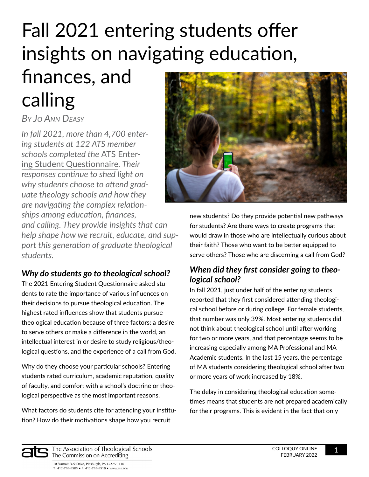# Fall 2021 entering students offer insights on navigating education,

# finances, and calling

# *By Jo Ann Deasy*

*In fall 2021, more than 4,700 entering students at 122 ATS member schools completed the* [ATS Enter](https://www.ats.edu/Questionnaires)[ing Student Questionnaire](https://www.ats.edu/Questionnaires)*. Their responses continue to shed light on why students choose to attend graduate theology schools and how they are navigating the complex relationships among education, finances, and calling. They provide insights that can help shape how we recruit, educate, and support this [g](https://www.ats.edu/uploads/accrediting/documents/reflective-guide-to-effective-evaluation.pdf)eneration of graduate theological students.*

### *Why do students go to theological school?*

The 2021 Entering Student Questionnaire asked students to rate the importance of various influences on their decisions to pursue theological education. The highest rated influences show that students pursue theological education because of three factors: a desire to serve others or make a difference in the world, an intellectual interest in or desire to study religious/theological questions, and the experience of a call from God.

Why do they choose your particular schools? Entering students rated curriculum, academic reputation, quality of faculty, and comfort with a school's doctrine or theological perspective as the most important reasons.

What factors do students cite for attending your institution? How do their motivations shape how you recruit



new students? Do they provide potential new pathways for students? Are there ways to create programs that would draw in those who are intellectually curious about their faith? Those who want to be better equipped to serve others? Those who are discerning a call from God?

## *When did they first consider going to theological school?*

In fall 2021, just under half of the entering students reported that they first considered attending theological school before or during college. For female students, that number was only 39%. Most entering students did not think about theological school until after working for two or more years, and that percentage seems to be increasing especially among MA Professional and MA Academic students. In the last 15 years, the percentage of MA students considering theological school after two or more years of work increased by 18%.

The delay in considering theological education sometimes means that students are not prepared academically for their programs. This is evident in the fact that only

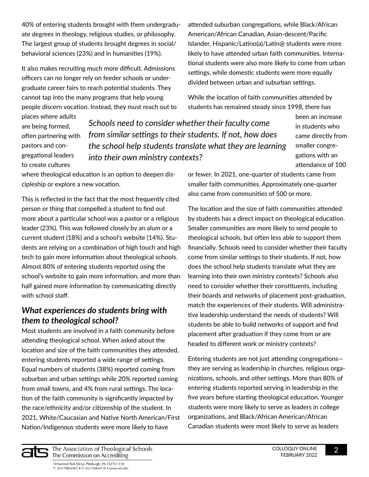40% of entering students brought with them undergraduate degrees in theology, religious studies, or philosophy. The largest group of students brought degrees in social/ behavioral sciences (23%) and in humanities (19%).

It also makes recruiting much more difficult. Admissions officers can no longer rely on feeder schools or undergraduate career fairs to reach potential students. They cannot tap into the many programs that help young people discern vocation. Instead, they must reach out to

places where adults are being formed, often partnering with pastors and congregational leaders to create cultures

*Schools need to consider whether their faculty come from similar settings to their students. If not, how does the school help students translate what they are learning into their own ministry contexts?* 

where theological education is an option to deepen discipleship or explore a new vocation.

This is reflected in the fact that the most frequently cited person or thing that compelled a student to find out more about a particular school was a pastor or a religious leader (23%). This was followed closely by an alum or a current student (18%) and a school's website (14%). Students are relying on a combination of high touch and high tech to gain more information about theological schools. Almost 80% of entering students reported using the school's website to gain more information, and more than half gained more information by communicating directly with school staff.

#### *What experiences do students bring with them to theological school?*

Most students are involved in a faith community before attending theological school. When asked about the location and size of the faith communities they attended, entering students reported a wide range of settings. Equal numbers of students (38%) reported coming from suburban and urban settings while 20% reported coming from small towns, and 4% from rural settings. The location of the faith community is significantly impacted by the race/ethnicity and/or citizenship of the student. In 2021, White/Caucasian and Native North American/First Nation/Indigenous students were more likely to have

attended suburban congregations, while Black/African American/African Canadian, Asian-descent/Pacific Islander, Hispanic/Latino(a)/Latin@ students were more likely to have attended urban faith communities. International students were also more likely to come from urban settings, while domestic students were more equally divided between urban and suburban settings.

While the location of faith communities attended by students has remained steady since 1998, there has

> in students who came directly from smaller congregations with an attendance of 100

been an increase

or fewer. In 2021, one-quarter of students came from smaller faith communities. Approximately one-quarter also came from communities of 500 or more.

The location and the size of faith communities attended by students has a direct impact on theological education. Smaller communities are more likely to send people to theological schools, but often less able to support them financially. Schools need to consider whether their faculty come from similar settings to their students. If not, how does the school help students translate what they are learning into their own ministry contexts? Schools also need to consider whether their constituents, including their boards and networks of placement post-graduation, match the experiences of their students. Will administrative leadership understand the needs of students? Will students be able to build networks of support and find placement after graduation if they come from or are headed to different work or ministry contexts?

Entering students are not just attending congregations they are serving as leadership in churches, religious organizations, schools, and other settings. More than 80% of entering students reported serving in leadership in the five years before starting theological education. Younger students were more likely to serve as leaders in college organizations, and Black/African American/African Canadian students were most likely to serve as leaders

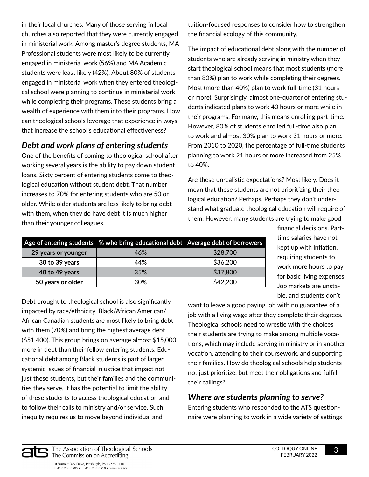in their local churches. Many of those serving in local churches also reported that they were currently engaged in ministerial work. Among master's degree students, MA Professional students were most likely to be currently engaged in ministerial work (56%) and MA Academic students were least likely (42%). About 80% of students engaged in ministerial work when they entered theological school were planning to continue in ministerial work while completing their programs. These students bring a wealth of experience with them into their programs. How can theological schools leverage that experience in ways that increase the school's educational effectiveness?

### *Debt and work plans of entering students*

One of the benefits of coming to theological school after working several years is the ability to pay down student loans. Sixty percent of entering students come to theological education without student debt. That number increases to 70% for entering students who are 50 or older. While older students are less likely to bring debt with them, when they do have debt it is much higher than their younger colleagues.

tuition-focused responses to consider how to strengthen the financial ecology of this community.

The impact of educational debt along with the number of students who are already serving in ministry when they start theological school means that most students (more than 80%) plan to work while completing their degrees. Most (more than 40%) plan to work full-time (31 hours or more). Surprisingly, almost one-quarter of entering students indicated plans to work 40 hours or more while in their programs. For many, this means enrolling part-time. However, 80% of students enrolled full-time also plan to work and almost 30% plan to work 31 hours or more. From 2010 to 2020, the percentage of full-time students planning to work 21 hours or more increased from 25% to 40%.

Are these unrealistic expectations? Most likely. Does it mean that these students are not prioritizing their theological education? Perhaps. Perhaps they don't understand what graduate theological education will require of them. However, many students are trying to make good

|                     | Age of entering students % who bring educational debt Average debt of borrowers |          |
|---------------------|---------------------------------------------------------------------------------|----------|
| 29 years or younger | 46%                                                                             | \$28,700 |
| 30 to 39 years      | 44%                                                                             | \$36,200 |
| 40 to 49 years      | 35%                                                                             | \$37,800 |
| 50 years or older   | 30%                                                                             | \$42,200 |

financial decisions. Parttime salaries have not kept up with inflation, requiring students to work more hours to pay for basic living expenses. Job markets are unstable, and students don't

Debt brought to theological school is also significantly impacted by race/ethnicity. Black/African American/ African Canadian students are most likely to bring debt with them (70%) and bring the highest average debt (\$51,400). This group brings on average almost \$15,000 more in debt than their fellow entering students. Educational debt among Black students is part of larger systemic issues of financial injustice that impact not just these students, but their families and the communities they serve. It has the potential to limit the ability of these students to access theological education and to follow their calls to ministry and/or service. Such inequity requires us to move beyond individual and

want to leave a good paying job with no guarantee of a job with a living wage after they complete their degrees. Theological schools need to wrestle with the choices their students are trying to make among multiple vocations, which may include serving in ministry or in another vocation, attending to their coursework, and supporting their families. How do theological schools help students not just prioritize, but meet their obligations and fulfill their callings?

#### *Where are students planning to serve?*

Entering students who responded to the ATS questionnaire were planning to work in a wide variety of settings